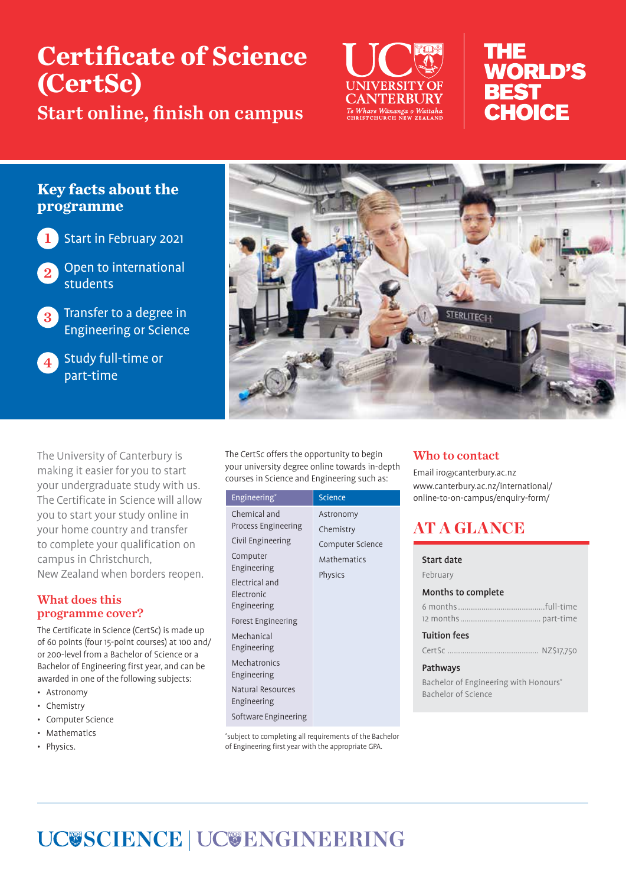# **Certificate of Science (CertSc)**

Start online, finish on campus



# THE **WORLD'S BEST** CHOICF

# **Key facts about the programme**



1 Start in February 2021

Open to international students

3 Transfer to a degree in Engineering or Science



**4** Study full-time or part-time



The University of Canterbury is making it easier for you to start your undergraduate study with us. The Certificate in Science will allow you to start your study online in your home country and transfer to complete your qualification on campus in Christchurch, New Zealand when borders reopen.

# What does this programme cover?

The Certificate in Science (CertSc) is made up of 60 points (four 15-point courses) at 100 and/ or 200-level from a Bachelor of Science or a Bachelor of Engineering first year, and can be awarded in one of the following subjects:

- Astronomy
- Chemistry
- Computer Science
- **Mathematics**
- Physics.

The CertSc offers the opportunity to begin your university degree online towards in-depth courses in Science and Engineering such as:

| Engineering*                 | <b>Science</b>   |
|------------------------------|------------------|
| Chemical and                 | Astronomy        |
| Process Engineering          | Chemistry        |
| Civil Engineering            | Computer Science |
| Computer                     | Mathematics      |
| Engineering                  | Physics          |
| Electrical and<br>Electronic |                  |
| Engineering                  |                  |
| Forest Engineering           |                  |
| Mechanical                   |                  |
| Engineering                  |                  |
| Mechatronics                 |                  |
| Engineering                  |                  |
| Natural Resources            |                  |
| Engineering                  |                  |
| Software Engineering         |                  |

\* subject to completing all requirements of the Bachelor of Engineering first year with the appropriate GPA.

# Who to contact

Email iro@canterbury.ac.nz www.canterbury.ac.nz/international/ online-to-on-campus/enquiry-form/

# AT A GLANCE

Start date February

| Months to complete  |  |  |
|---------------------|--|--|
|                     |  |  |
|                     |  |  |
| <b>Tuition fees</b> |  |  |
|                     |  |  |

### Pathways

Bachelor of Engineering with Honours\* Bachelor of Science

# **UC@SCIENCE | UC@ENGINEERING**